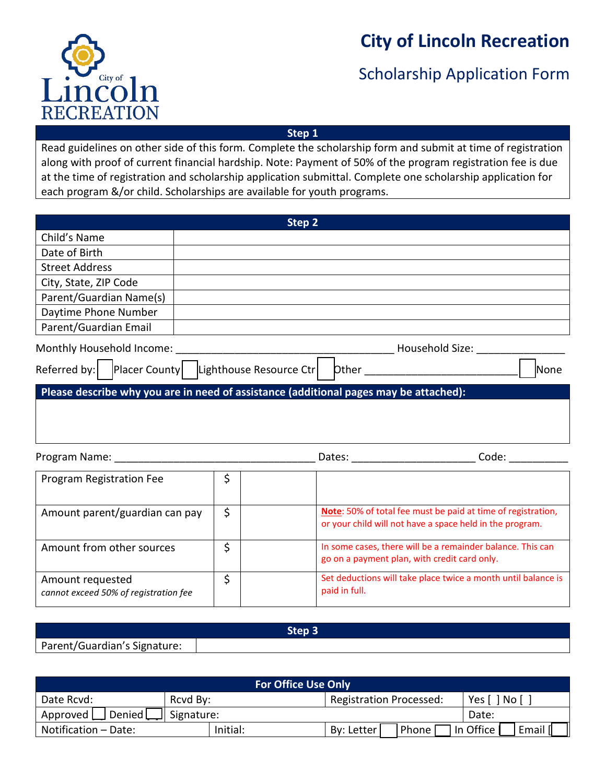

# **City of Lincoln Recreation**

### Scholarship Application Form

**Step 1**

Read guidelines on other side of this form*.* Complete the scholarship form and submit at time of registration along with proof of current financial hardship. Note: Payment of 50% of the program registration fee is due at the time of registration and scholarship application submittal. Complete one scholarship application for each program &/or child. Scholarships are available for youth programs.

| Step 2                                                                                |         |               |                                                                                                                          |  |  |  |
|---------------------------------------------------------------------------------------|---------|---------------|--------------------------------------------------------------------------------------------------------------------------|--|--|--|
| Child's Name                                                                          |         |               |                                                                                                                          |  |  |  |
| Date of Birth                                                                         |         |               |                                                                                                                          |  |  |  |
| <b>Street Address</b>                                                                 |         |               |                                                                                                                          |  |  |  |
| City, State, ZIP Code                                                                 |         |               |                                                                                                                          |  |  |  |
| Parent/Guardian Name(s)                                                               |         |               |                                                                                                                          |  |  |  |
| Daytime Phone Number                                                                  |         |               |                                                                                                                          |  |  |  |
| Parent/Guardian Email                                                                 |         |               |                                                                                                                          |  |  |  |
| Monthly Household Income:                                                             |         |               |                                                                                                                          |  |  |  |
| Referred by: Placer County   Lighthouse Resource Ctr<br>None                          |         |               |                                                                                                                          |  |  |  |
| Please describe why you are in need of assistance (additional pages may be attached): |         |               |                                                                                                                          |  |  |  |
|                                                                                       |         |               |                                                                                                                          |  |  |  |
|                                                                                       |         |               |                                                                                                                          |  |  |  |
| Program Registration Fee                                                              | \$      |               |                                                                                                                          |  |  |  |
| Amount parent/guardian can pay                                                        | \$      |               | Note: 50% of total fee must be paid at time of registration,<br>or your child will not have a space held in the program. |  |  |  |
| Amount from other sources                                                             | $\zeta$ |               | In some cases, there will be a remainder balance. This can<br>go on a payment plan, with credit card only.               |  |  |  |
| Amount requested<br>cannot exceed 50% of registration fee                             | \$      | paid in full. | Set deductions will take place twice a month until balance is                                                            |  |  |  |

| Parent/Guardian's Signature: |  |  |  |  |  |
|------------------------------|--|--|--|--|--|

| <b>For Office Use Only</b> |            |                                |                    |  |  |
|----------------------------|------------|--------------------------------|--------------------|--|--|
| Rcvd By:<br>Date Rcvd:     |            | <b>Registration Processed:</b> | No [<br>Yes [      |  |  |
| Approved<br>Denied L       | Signature: |                                | Date:              |  |  |
| Notification - Date:       | Initial:   | Phone<br>By: Letter            | In Office<br>Email |  |  |